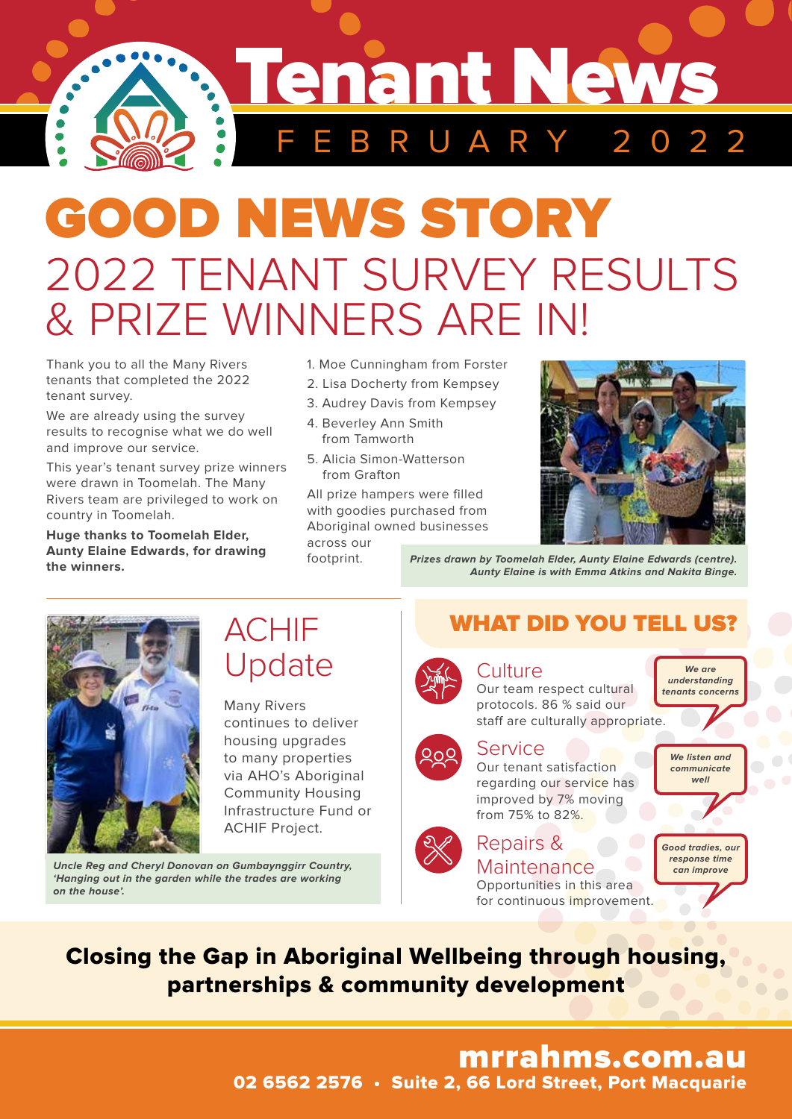

# GOOD NEWS STORY 2022 TENANT SURVEY RESULTS & PRIZE WINNERS ARE IN!

Thank you to all the Many Rivers tenants that completed the 2022 tenant survey.

We are already using the survey results to recognise what we do well and improve our service.

This year's tenant survey prize winners were drawn in Toomelah. The Many Rivers team are privileged to work on country in Toomelah.

**Huge thanks to Toomelah Elder, Aunty Elaine Edwards, for drawing the winners.**

- 1. Moe Cunningham from Forster
- 2. Lisa Docherty from Kempsey
- 3. Audrey Davis from Kempsey
- 4. Beverley Ann Smith from Tamworth
- 5. Alicia Simon-Watterson from Grafton

All prize hampers were filled with goodies purchased from Aboriginal owned businesses

across our footprint.



**Prizes drawn by Toomelah Elder, Aunty Elaine Edwards (centre). Aunty Elaine is with Emma Atkins and Nakita Binge.**



## ACHIF Update

Many Rivers continues to deliver housing upgrades to many properties via AHO's Aboriginal Community Housing Infrastructure Fund or ACHIF Project.

**Uncle Reg and Cheryl Donovan on Gumbaynggirr Country, 'Hanging out in the garden while the trades are working on the house'.**

## WHAT DID YOU TELL US?



#### **Culture**

Our team respect cultural protocols. 86 % said our staff are culturally appropriate. **tenants concerns**



#### Service

Our tenant satisfaction regarding our service has improved by 7% moving from 75% to 82%.



## Repairs &

Maintenance Opportunities in this area for continuous improvement.



**We are understanding** 

**well**

**Good tradies, our response time can improve**

Closing the Gap in Aboriginal Wellbeing through housing, partnerships & community development

## mrrahms.com.au

02 6562 2576 • Suite 2, 66 Lord Street, Port Macquarie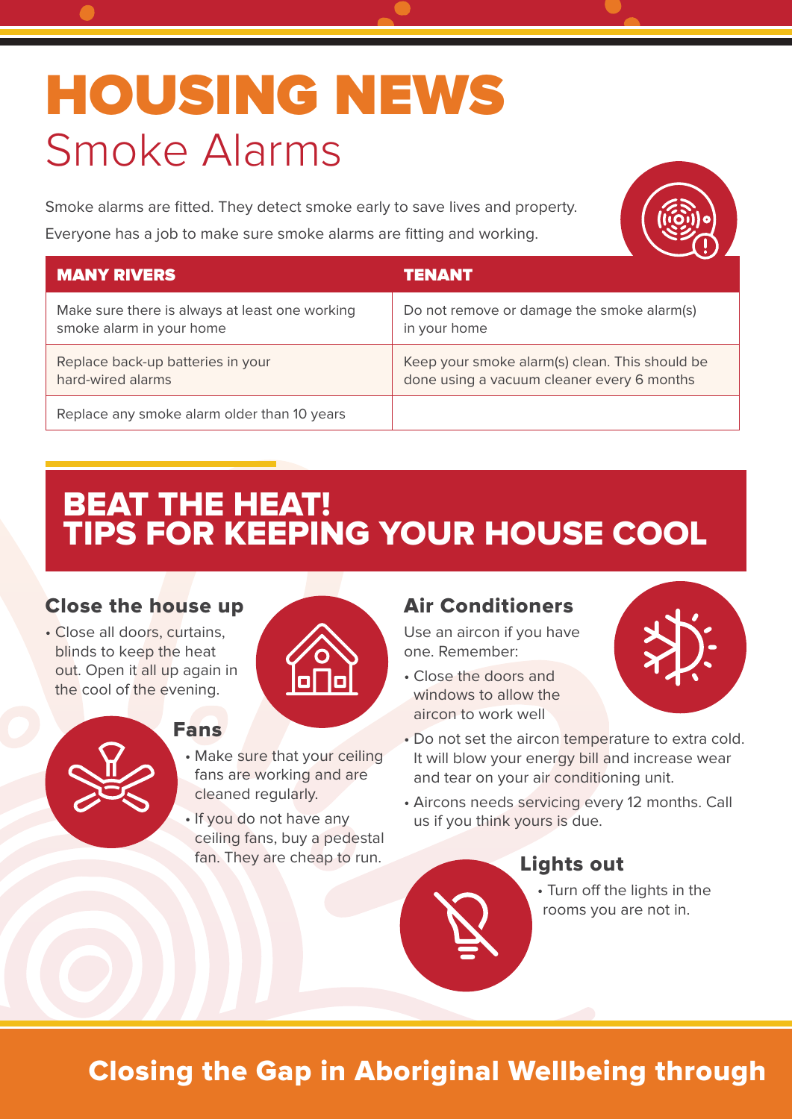# **HOUSING NEWS** Smoke Alarms

Smoke alarms are fitted. They detect smoke early to save lives and property. Everyone has a job to make sure smoke alarms are fitting and working.



| <b>MANY RIVERS</b>                             | TENANT                                         |
|------------------------------------------------|------------------------------------------------|
| Make sure there is always at least one working | Do not remove or damage the smoke alarm(s)     |
| smoke alarm in your home                       | in your home                                   |
| Replace back-up batteries in your              | Keep your smoke alarm(s) clean. This should be |
| hard-wired alarms                              | done using a vacuum cleaner every 6 months     |
| Replace any smoke alarm older than 10 years    |                                                |

## BEAT THE HEAT! TIPS FOR KEEPING YOUR HOUSE COOL

#### Close the house up

• Close all doors, curtains, blinds to keep the heat out. Open it all up again in the cool of the evening.



#### Fans

- Make sure that your ceiling fans are working and are cleaned regularly.
- If you do not have any ceiling fans, buy a pedestal fan. They are cheap to run.

#### Air Conditioners

Use an aircon if you have one. Remember:

- Close the doors and windows to allow the aircon to work well
- 
- Do not set the aircon temperature to extra cold. It will blow your energy bill and increase wear and tear on your air conditioning unit.
- Aircons needs servicing every 12 months. Call us if you think yours is due.

#### Lights out

• Turn off the lights in the rooms you are not in.

## Closing the Gap in Aboriginal Wellbeing through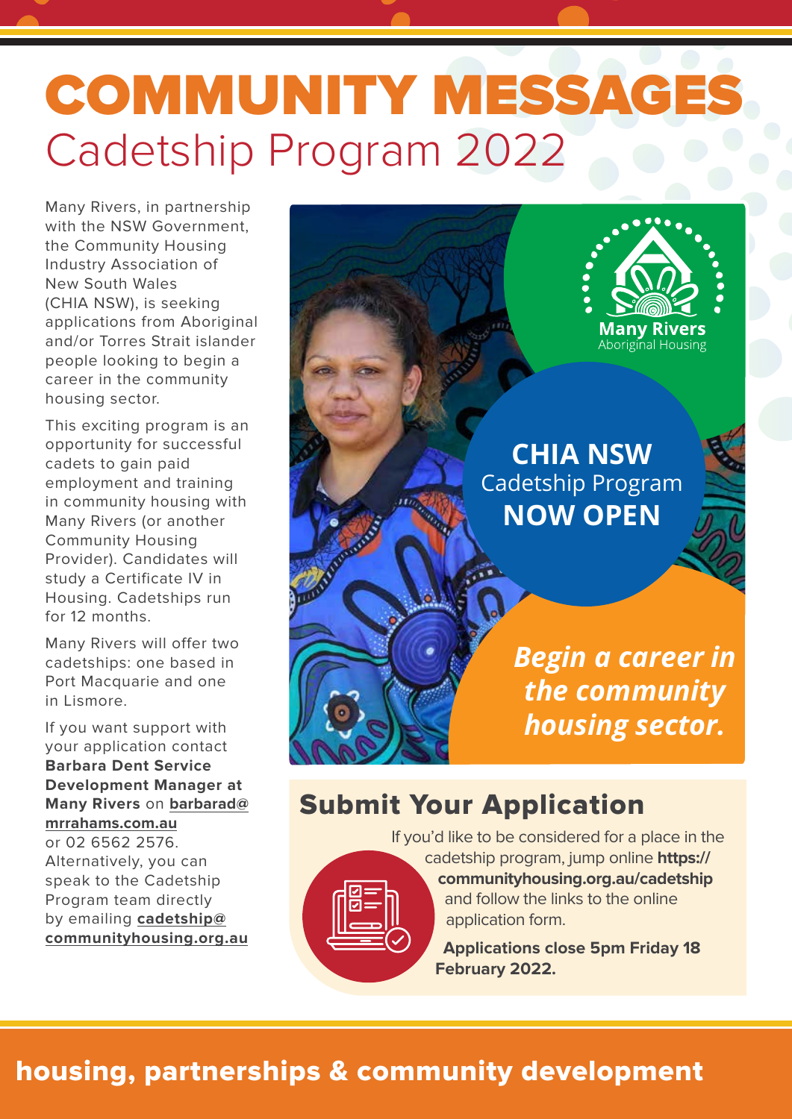# COMMUNITY MESSAGES Cadetship Program 2022

Many Rivers, in partnership with the NSW Government, the Community Housing Industry Association of New South Wales (CHIA NSW), is seeking applications from Aboriginal and/or Torres Strait islander people looking to begin a career in the community housing sector.

This exciting program is an opportunity for successful cadets to gain paid employment and training in community housing with Many Rivers (or another Community Housing Provider). Candidates will study a Certificate IV in Housing. Cadetships run for 12 months.

Many Rivers will offer two cadetships: one based in Port Macquarie and one in Lismore.

If you want support with your application contact **Barbara Dent Service Development Manager at Many Rivers** on **barbarad@ mrrahams.com.au** or 02 6562 2576. Alternatively, you can speak to the Cadetship Program team directly by emailing **cadetship@ communityhousing.org.au**

**Many Rivers**<br>Aboriginal Housing **CHIA NSW** Cadetship Program **NOW OPEN Charles Call College Road** *Begin a career in the community housing sector.*

### Submit Your Application

If you'd like to be considered for a place in the cadetship program, jump online **https://**



**communityhousing.org.au/cadetship**  and follow the links to the online application form.

**Applications close 5pm Friday 18 February 2022.**